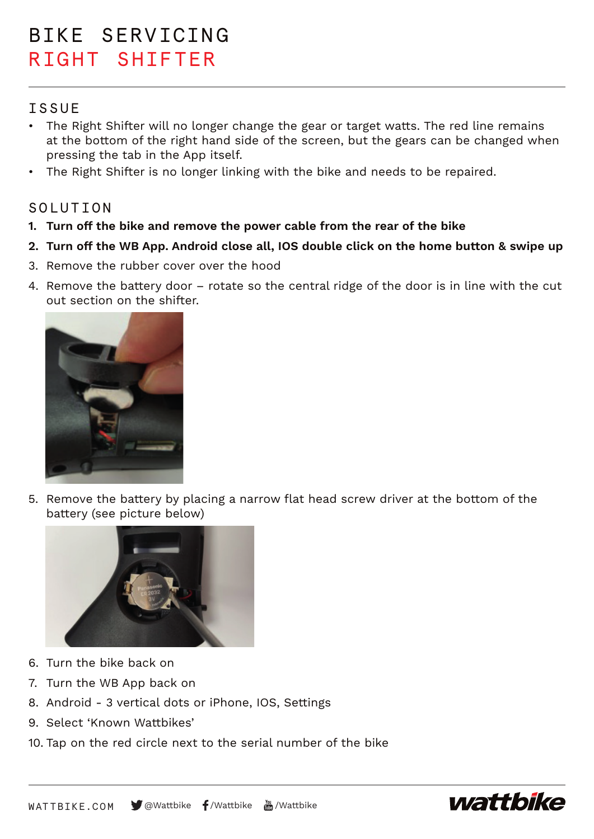# BIKE SERVICING RIGHT SHIFTER

## **TSSUE**

- The Right Shifter will no longer change the gear or target watts. The red line remains at the bottom of the right hand side of the screen, but the gears can be changed when pressing the tab in the App itself.
- The Right Shifter is no longer linking with the bike and needs to be repaired.

## SOLUTION

- **1. Turn off the bike and remove the power cable from the rear of the bike**
- **2. Turn off the WB App. Android close all, IOS double click on the home button & swipe up**
- 3. Remove the rubber cover over the hood
- 4. Remove the battery door rotate so the central ridge of the door is in line with the cut out section on the shifter.



5. Remove the battery by placing a narrow flat head screw driver at the bottom of the battery (see picture below)



- 6. Turn the bike back on
- 7. Turn the WB App back on
- 8. Android 3 vertical dots or iPhone, IOS, Settings
- 9. Select 'Known Wattbikes'
- 10. Tap on the red circle next to the serial number of the bike



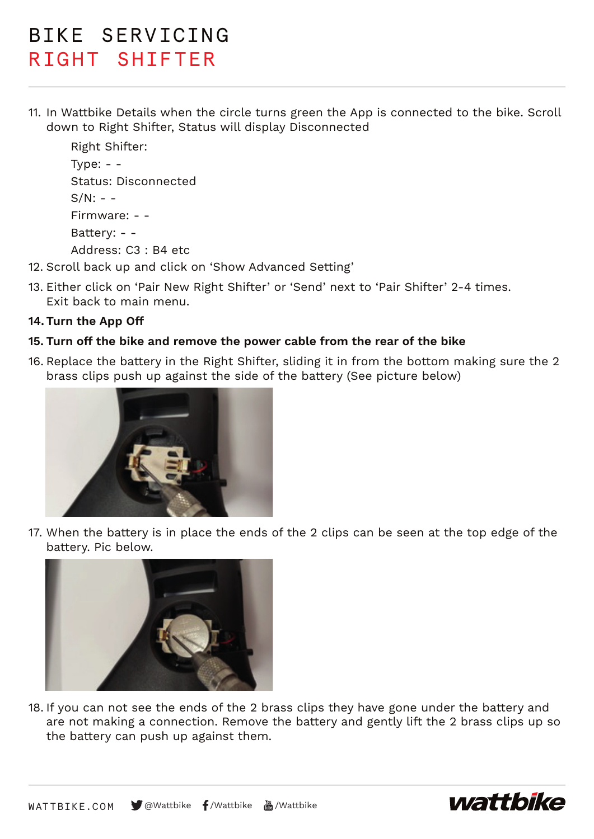# BIKE SERVICING RIGHT SHIFTER

11. In Wattbike Details when the circle turns green the App is connected to the bike. Scroll down to Right Shifter, Status will display Disconnected

```
Right Shifter:
Type: - -Status: Disconnected
S/N: - -Firmware: - - 
Battery: - - 
Address: C3 : B4 etc
```
- 12. Scroll back up and click on 'Show Advanced Setting'
- 13. Either click on 'Pair New Right Shifter' or 'Send' next to 'Pair Shifter' 2-4 times. Exit back to main menu.

### **14. Turn the App Off**

### **15. Turn off the bike and remove the power cable from the rear of the bike**

16. Replace the battery in the Right Shifter, sliding it in from the bottom making sure the 2 brass clips push up against the side of the battery (See picture below)



17. When the battery is in place the ends of the 2 clips can be seen at the top edge of the battery. Pic below.



18. If you can not see the ends of the 2 brass clips they have gone under the battery and are not making a connection. Remove the battery and gently lift the 2 brass clips up so the battery can push up against them.